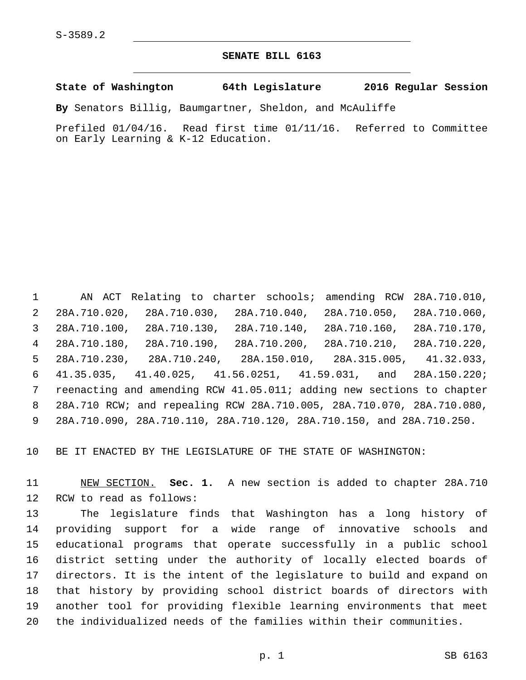**SENATE BILL 6163**

**State of Washington 64th Legislature 2016 Regular Session**

**By** Senators Billig, Baumgartner, Sheldon, and McAuliffe

Prefiled 01/04/16. Read first time 01/11/16. Referred to Committee on Early Learning & K-12 Education.

 AN ACT Relating to charter schools; amending RCW 28A.710.010, 28A.710.020, 28A.710.030, 28A.710.040, 28A.710.050, 28A.710.060, 28A.710.100, 28A.710.130, 28A.710.140, 28A.710.160, 28A.710.170, 28A.710.180, 28A.710.190, 28A.710.200, 28A.710.210, 28A.710.220, 28A.710.230, 28A.710.240, 28A.150.010, 28A.315.005, 41.32.033, 41.35.035, 41.40.025, 41.56.0251, 41.59.031, and 28A.150.220; reenacting and amending RCW 41.05.011; adding new sections to chapter 28A.710 RCW; and repealing RCW 28A.710.005, 28A.710.070, 28A.710.080, 28A.710.090, 28A.710.110, 28A.710.120, 28A.710.150, and 28A.710.250.

BE IT ENACTED BY THE LEGISLATURE OF THE STATE OF WASHINGTON:

 NEW SECTION. **Sec. 1.** A new section is added to chapter 28A.710 12 RCW to read as follows:

 The legislature finds that Washington has a long history of providing support for a wide range of innovative schools and educational programs that operate successfully in a public school district setting under the authority of locally elected boards of directors. It is the intent of the legislature to build and expand on that history by providing school district boards of directors with another tool for providing flexible learning environments that meet the individualized needs of the families within their communities.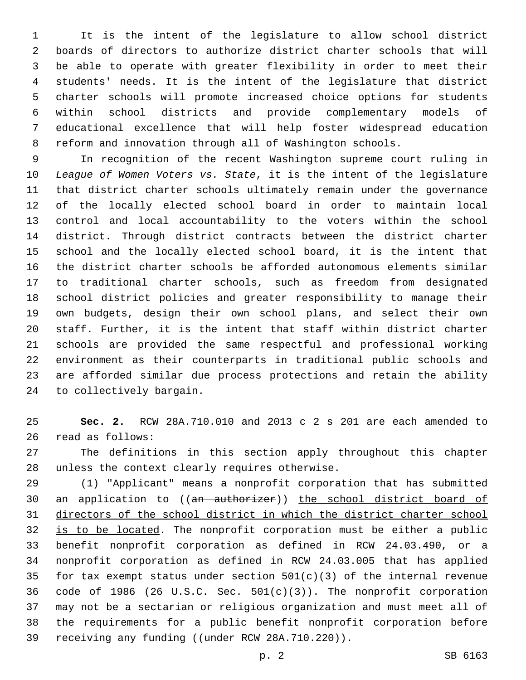It is the intent of the legislature to allow school district boards of directors to authorize district charter schools that will be able to operate with greater flexibility in order to meet their students' needs. It is the intent of the legislature that district charter schools will promote increased choice options for students within school districts and provide complementary models of educational excellence that will help foster widespread education reform and innovation through all of Washington schools.

 In recognition of the recent Washington supreme court ruling in *League of Women Voters vs. State*, it is the intent of the legislature that district charter schools ultimately remain under the governance of the locally elected school board in order to maintain local control and local accountability to the voters within the school district. Through district contracts between the district charter school and the locally elected school board, it is the intent that the district charter schools be afforded autonomous elements similar to traditional charter schools, such as freedom from designated school district policies and greater responsibility to manage their own budgets, design their own school plans, and select their own staff. Further, it is the intent that staff within district charter schools are provided the same respectful and professional working environment as their counterparts in traditional public schools and are afforded similar due process protections and retain the ability 24 to collectively bargain.

 **Sec. 2.** RCW 28A.710.010 and 2013 c 2 s 201 are each amended to 26 read as follows:

 The definitions in this section apply throughout this chapter 28 unless the context clearly requires otherwise.

 (1) "Applicant" means a nonprofit corporation that has submitted 30 an application to ((an authorizer)) the school district board of directors of the school district in which the district charter school 32 is to be located. The nonprofit corporation must be either a public benefit nonprofit corporation as defined in RCW 24.03.490, or a nonprofit corporation as defined in RCW 24.03.005 that has applied 35 for tax exempt status under section  $501(c)(3)$  of the internal revenue code of 1986 (26 U.S.C. Sec. 501(c)(3)). The nonprofit corporation may not be a sectarian or religious organization and must meet all of the requirements for a public benefit nonprofit corporation before 39 receiving any funding ((under RCW 28A.710.220)).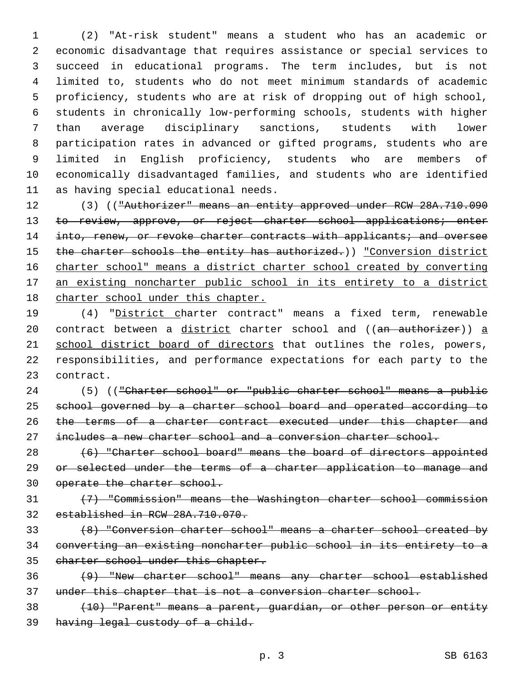(2) "At-risk student" means a student who has an academic or economic disadvantage that requires assistance or special services to succeed in educational programs. The term includes, but is not limited to, students who do not meet minimum standards of academic proficiency, students who are at risk of dropping out of high school, students in chronically low-performing schools, students with higher than average disciplinary sanctions, students with lower participation rates in advanced or gifted programs, students who are limited in English proficiency, students who are members of economically disadvantaged families, and students who are identified 11 as having special educational needs.

12 (3) (("Authorizer" means an entity approved under RCW 28A.710.090 13 to review, approve, or reject charter school applications; enter 14 into, renew, or revoke charter contracts with applicants; and oversee 15 the charter schools the entity has authorized.)) "Conversion district charter school" means a district charter school created by converting an existing noncharter public school in its entirety to a district charter school under this chapter.

 (4) "District charter contract" means a fixed term, renewable 20 contract between a district charter school and ((an authorizer)) a 21 school district board of directors that outlines the roles, powers, responsibilities, and performance expectations for each party to the 23 contract.

 (5) (("Charter school" or "public charter school" means a public 25 school governed by a charter school board and operated according to the terms of a charter contract executed under this chapter and includes a new charter school and a conversion charter school.

 (6) "Charter school board" means the board of directors appointed 29 or selected under the terms of a charter application to manage and 30 operate the charter school.

 (7) "Commission" means the Washington charter school commission established in RCW 28A.710.070.

 (8) "Conversion charter school" means a charter school created by converting an existing noncharter public school in its entirety to a charter school under this chapter.

 (9) "New charter school" means any charter school established under this chapter that is not a conversion charter school.

 (10) "Parent" means a parent, guardian, or other person or entity having legal custody of a child.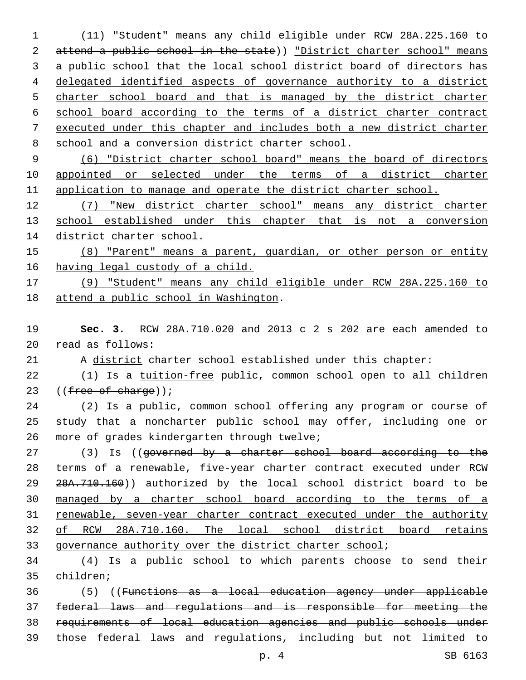(11) "Student" means any child eligible under RCW 28A.225.160 to 2 attend a public school in the state)) "District charter school" means 3 a public school that the local school district board of directors has delegated identified aspects of governance authority to a district 5 charter school board and that is managed by the district charter school board according to the terms of a district charter contract executed under this chapter and includes both a new district charter school and a conversion district charter school.

 (6) "District charter school board" means the board of directors 10 appointed or selected under the terms of a district charter application to manage and operate the district charter school.

 (7) "New district charter school" means any district charter 13 school established under this chapter that is not a conversion district charter school.

 (8) "Parent" means a parent, guardian, or other person or entity 16 having legal custody of a child.

 (9) "Student" means any child eligible under RCW 28A.225.160 to 18 attend a public school in Washington.

 **Sec. 3.** RCW 28A.710.020 and 2013 c 2 s 202 are each amended to read as follows:20

A district charter school established under this chapter:

22 (1) Is a tuition-free public, common school open to all children 23  $((free of charge))$ ;

 (2) Is a public, common school offering any program or course of study that a noncharter public school may offer, including one or 26 more of grades kindergarten through twelve;

27 (3) Is ((governed by a charter school board according to the terms of a renewable, five-year charter contract executed under RCW 29 28A.710.160)) authorized by the local school district board to be managed by a charter school board according to the terms of a renewable, seven-year charter contract executed under the authority of RCW 28A.710.160. The local school district board retains governance authority over the district charter school;

 (4) Is a public school to which parents choose to send their 35 children;

 (5) ((Functions as a local education agency under applicable federal laws and regulations and is responsible for meeting the requirements of local education agencies and public schools under those federal laws and regulations, including but not limited to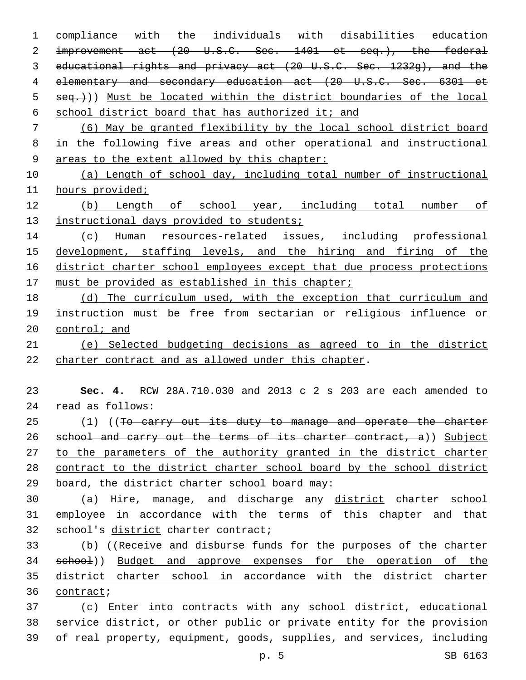compliance with the individuals with disabilities education 2 improvement act (20 U.S.C. Sec. 1401 et seq.), the federal educational rights and privacy act (20 U.S.C. Sec. 1232g), and the elementary and secondary education act (20 U.S.C. Sec. 6301 et  $seq.$ )) Must be located within the district boundaries of the local school district board that has authorized it; and (6) May be granted flexibility by the local school district board in the following five areas and other operational and instructional 9 areas to the extent allowed by this chapter: (a) Length of school day, including total number of instructional hours provided; (b) Length of school year, including total number of 13 instructional days provided to students; (c) Human resources-related issues, including professional development, staffing levels, and the hiring and firing of the 16 district charter school employees except that due process protections 17 must be provided as established in this chapter; (d) The curriculum used, with the exception that curriculum and instruction must be free from sectarian or religious influence or 20 control; and (e) Selected budgeting decisions as agreed to in the district charter contract and as allowed under this chapter. **Sec. 4.** RCW 28A.710.030 and 2013 c 2 s 203 are each amended to read as follows:24 25 (1) ((To carry out its duty to manage and operate the charter 26 school and carry out the terms of its charter contract, a)) Subject 27 to the parameters of the authority granted in the district charter contract to the district charter school board by the school district 29 board, the district charter school board may: (a) Hire, manage, and discharge any district charter school employee in accordance with the terms of this chapter and that 32 school's district charter contract; (b) ((Receive and disburse funds for the purposes of the charter 34 school)) Budget and approve expenses for the operation of the district charter school in accordance with the district charter 36 contract; (c) Enter into contracts with any school district, educational service district, or other public or private entity for the provision of real property, equipment, goods, supplies, and services, including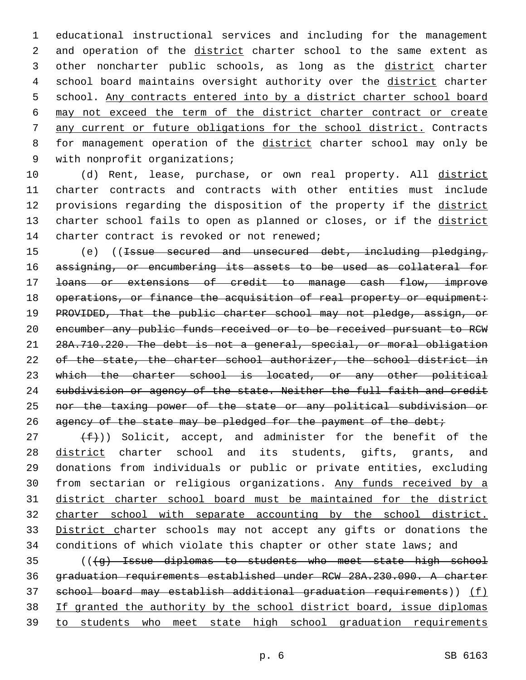1 educational instructional services and including for the management 2 and operation of the district charter school to the same extent as 3 other noncharter public schools, as long as the district charter 4 school board maintains oversight authority over the district charter 5 school. Any contracts entered into by a district charter school board 6 may not exceed the term of the district charter contract or create 7 any current or future obligations for the school district. Contracts 8 for management operation of the district charter school may only be 9 with nonprofit organizations;

10 (d) Rent, lease, purchase, or own real property. All district 11 charter contracts and contracts with other entities must include 12 provisions regarding the disposition of the property if the district 13 charter school fails to open as planned or closes, or if the district 14 charter contract is revoked or not renewed;

15 (e) ((<del>Issue secured and unsecured debt, including pledging,</del> 16 assigning, or encumbering its assets to be used as collateral for 17 loans or extensions of credit to manage cash flow, improve 18 operations, or finance the acquisition of real property or equipment: 19 PROVIDED, That the public charter school may not pledge, assign, or 20 encumber any public funds received or to be received pursuant to RCW 21 28A.710.220. The debt is not a general, special, or moral obligation 22 of the state, the charter school authorizer, the school district in 23 which the charter school is located, or any other political 24 subdivision or agency of the state. Neither the full faith and credit 25 nor the taxing power of the state or any political subdivision or 26 agency of the state may be pledged for the payment of the debt;

 $(f)$ ) Solicit, accept, and administer for the benefit of the 28 district charter school and its students, gifts, grants, and donations from individuals or public or private entities, excluding 30 from sectarian or religious organizations. Any funds received by a district charter school board must be maintained for the district charter school with separate accounting by the school district. District charter schools may not accept any gifts or donations the conditions of which violate this chapter or other state laws; and

 (((g) Issue diplomas to students who meet state high school graduation requirements established under RCW 28A.230.090. A charter school board may establish additional graduation requirements)) (f) If granted the authority by the school district board, issue diplomas to students who meet state high school graduation requirements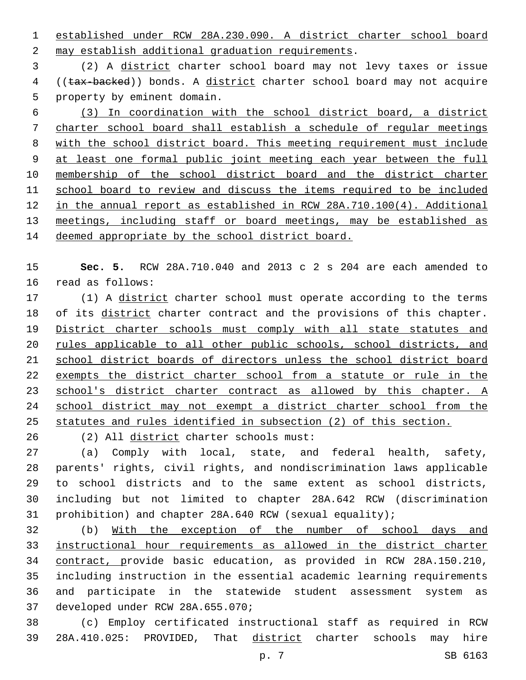established under RCW 28A.230.090. A district charter school board 2 may establish additional graduation requirements.

 (2) A district charter school board may not levy taxes or issue 4 ((tax-backed)) bonds. A district charter school board may not acquire 5 property by eminent domain.

 (3) In coordination with the school district board, a district charter school board shall establish a schedule of regular meetings with the school district board. This meeting requirement must include at least one formal public joint meeting each year between the full membership of the school district board and the district charter school board to review and discuss the items required to be included in the annual report as established in RCW 28A.710.100(4). Additional meetings, including staff or board meetings, may be established as 14 deemed appropriate by the school district board.

 **Sec. 5.** RCW 28A.710.040 and 2013 c 2 s 204 are each amended to 16 read as follows:

 (1) A district charter school must operate according to the terms 18 of its district charter contract and the provisions of this chapter. 19 District charter schools must comply with all state statutes and rules applicable to all other public schools, school districts, and school district boards of directors unless the school district board 22 exempts the district charter school from a statute or rule in the school's district charter contract as allowed by this chapter. A 24 school district may not exempt a district charter school from the statutes and rules identified in subsection (2) of this section.

(2) All district charter schools must:26

 (a) Comply with local, state, and federal health, safety, parents' rights, civil rights, and nondiscrimination laws applicable to school districts and to the same extent as school districts, including but not limited to chapter 28A.642 RCW (discrimination prohibition) and chapter 28A.640 RCW (sexual equality);

 (b) With the exception of the number of school days and instructional hour requirements as allowed in the district charter contract, provide basic education, as provided in RCW 28A.150.210, including instruction in the essential academic learning requirements and participate in the statewide student assessment system as 37 developed under RCW 28A.655.070;

 (c) Employ certificated instructional staff as required in RCW 28A.410.025: PROVIDED, That district charter schools may hire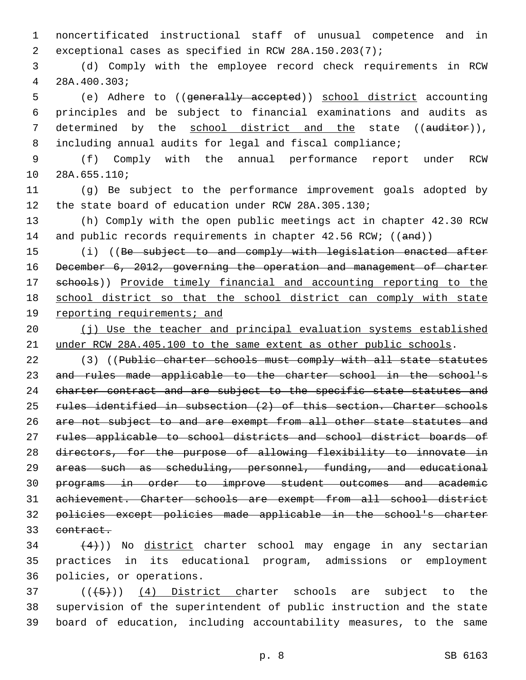noncertificated instructional staff of unusual competence and in exceptional cases as specified in RCW 28A.150.203(7);

 (d) Comply with the employee record check requirements in RCW 28A.400.303;4

 (e) Adhere to ((generally accepted)) school district accounting principles and be subject to financial examinations and audits as 7 determined by the school district and the state ((auditor)), including annual audits for legal and fiscal compliance;

 (f) Comply with the annual performance report under RCW 10 28A.655.110;

 (g) Be subject to the performance improvement goals adopted by the state board of education under RCW 28A.305.130;

 (h) Comply with the open public meetings act in chapter 42.30 RCW 14 and public records requirements in chapter 42.56 RCW; ((and))

15 (i) ((Be subject to and comply with legislation enacted after December 6, 2012, governing the operation and management of charter schools)) Provide timely financial and accounting reporting to the school district so that the school district can comply with state 19 reporting requirements; and

 (j) Use the teacher and principal evaluation systems established under RCW 28A.405.100 to the same extent as other public schools.

22 (3) ((Public charter schools must comply with all state statutes and rules made applicable to the charter school in the school's 24 charter contract and are subject to the specific state statutes and rules identified in subsection (2) of this section. Charter schools 26 are not subject to and are exempt from all other state statutes and rules applicable to school districts and school district boards of directors, for the purpose of allowing flexibility to innovate in areas such as scheduling, personnel, funding, and educational programs in order to improve student outcomes and academic achievement. Charter schools are exempt from all school district policies except policies made applicable in the school's charter 33 eontract.

  $(4)$ )) No district charter school may engage in any sectarian practices in its educational program, admissions or employment 36 policies, or operations.

  $((+5+))$   $(4)$  District charter schools are subject to the supervision of the superintendent of public instruction and the state board of education, including accountability measures, to the same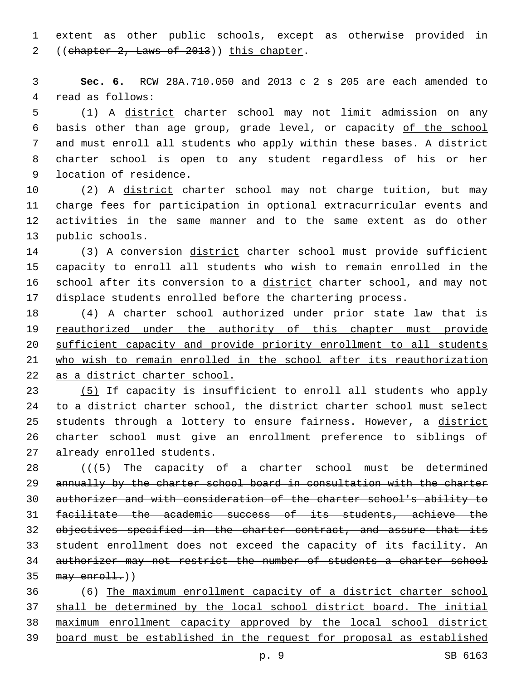extent as other public schools, except as otherwise provided in 2 ((chapter 2, Laws of 2013)) this chapter.

 **Sec. 6.** RCW 28A.710.050 and 2013 c 2 s 205 are each amended to 4 read as follows:

 (1) A district charter school may not limit admission on any basis other than age group, grade level, or capacity of the school 7 and must enroll all students who apply within these bases. A district charter school is open to any student regardless of his or her 9 location of residence.

10 (2) A district charter school may not charge tuition, but may charge fees for participation in optional extracurricular events and activities in the same manner and to the same extent as do other 13 public schools.

14 (3) A conversion district charter school must provide sufficient capacity to enroll all students who wish to remain enrolled in the 16 school after its conversion to a district charter school, and may not displace students enrolled before the chartering process.

 (4) A charter school authorized under prior state law that is 19 reauthorized under the authority of this chapter must provide sufficient capacity and provide priority enrollment to all students who wish to remain enrolled in the school after its reauthorization as a district charter school.

 (5) If capacity is insufficient to enroll all students who apply 24 to a district charter school, the district charter school must select 25 students through a lottery to ensure fairness. However, a district charter school must give an enrollment preference to siblings of 27 already enrolled students.

 $((+5)$  The capacity of a charter school must be determined annually by the charter school board in consultation with the charter authorizer and with consideration of the charter school's ability to facilitate the academic success of its students, achieve the 32 objectives specified in the charter contract, and assure that its student enrollment does not exceed the capacity of its facility. An authorizer may not restrict the number of students a charter school may enroll.)

 (6) The maximum enrollment capacity of a district charter school shall be determined by the local school district board. The initial maximum enrollment capacity approved by the local school district board must be established in the request for proposal as established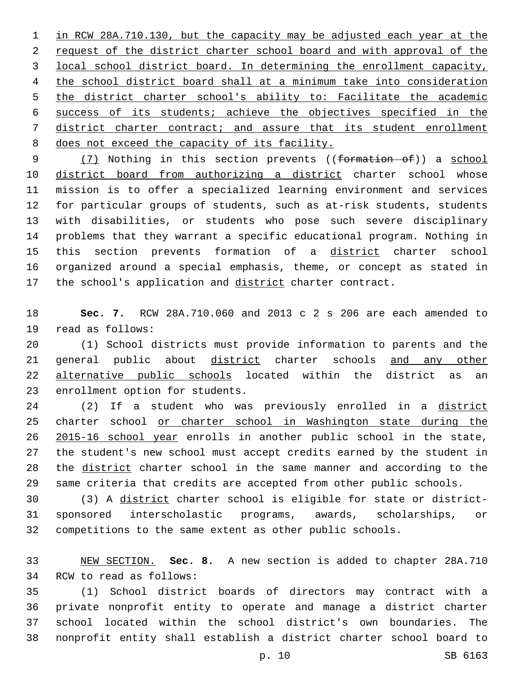in RCW 28A.710.130, but the capacity may be adjusted each year at the request of the district charter school board and with approval of the local school district board. In determining the enrollment capacity, the school district board shall at a minimum take into consideration the district charter school's ability to: Facilitate the academic success of its students; achieve the objectives specified in the district charter contract; and assure that its student enrollment 8 does not exceed the capacity of its facility.

9 (7) Nothing in this section prevents ((formation of)) a school 10 district board from authorizing a district charter school whose mission is to offer a specialized learning environment and services for particular groups of students, such as at-risk students, students with disabilities, or students who pose such severe disciplinary problems that they warrant a specific educational program. Nothing in this section prevents formation of a district charter school organized around a special emphasis, theme, or concept as stated in 17 the school's application and district charter contract.

 **Sec. 7.** RCW 28A.710.060 and 2013 c 2 s 206 are each amended to 19 read as follows:

 (1) School districts must provide information to parents and the general public about district charter schools and any other alternative public schools located within the district as an 23 enrollment option for students.

 (2) If a student who was previously enrolled in a district 25 charter school or charter school in Washington state during the 26 2015-16 school year enrolls in another public school in the state, the student's new school must accept credits earned by the student in the district charter school in the same manner and according to the same criteria that credits are accepted from other public schools.

 (3) A district charter school is eligible for state or district- sponsored interscholastic programs, awards, scholarships, or competitions to the same extent as other public schools.

 NEW SECTION. **Sec. 8.** A new section is added to chapter 28A.710 34 RCW to read as follows:

 (1) School district boards of directors may contract with a private nonprofit entity to operate and manage a district charter school located within the school district's own boundaries. The nonprofit entity shall establish a district charter school board to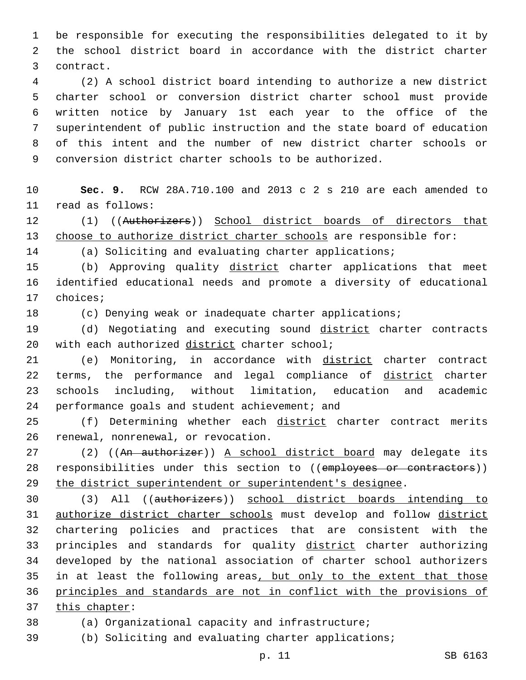1 be responsible for executing the responsibilities delegated to it by 2 the school district board in accordance with the district charter 3 contract.

 (2) A school district board intending to authorize a new district charter school or conversion district charter school must provide written notice by January 1st each year to the office of the superintendent of public instruction and the state board of education of this intent and the number of new district charter schools or conversion district charter schools to be authorized.

10 **Sec. 9.** RCW 28A.710.100 and 2013 c 2 s 210 are each amended to read as follows:11

12 (1) ((Authorizers)) School district boards of directors that 13 choose to authorize district charter schools are responsible for:

14 (a) Soliciting and evaluating charter applications;

15 (b) Approving quality district charter applications that meet 16 identified educational needs and promote a diversity of educational 17 choices;

18 (c) Denying weak or inadequate charter applications;

19 (d) Negotiating and executing sound district charter contracts 20 with each authorized district charter school;

21 (e) Monitoring, in accordance with district charter contract 22 terms, the performance and legal compliance of district charter 23 schools including, without limitation, education and academic 24 performance goals and student achievement; and

25 (f) Determining whether each district charter contract merits 26 renewal, nonrenewal, or revocation.

27 (2) ((An authorizer)) A school district board may delegate its 28 responsibilities under this section to ((employees or contractors)) 29 the district superintendent or superintendent's designee.

30 (3) All ((authorizers)) school district boards intending to 31 authorize district charter schools must develop and follow district 32 chartering policies and practices that are consistent with the 33 principles and standards for quality district charter authorizing 34 developed by the national association of charter school authorizers 35 in at least the following areas, but only to the extent that those 36 principles and standards are not in conflict with the provisions of 37 this chapter:

38 (a) Organizational capacity and infrastructure;

39 (b) Soliciting and evaluating charter applications;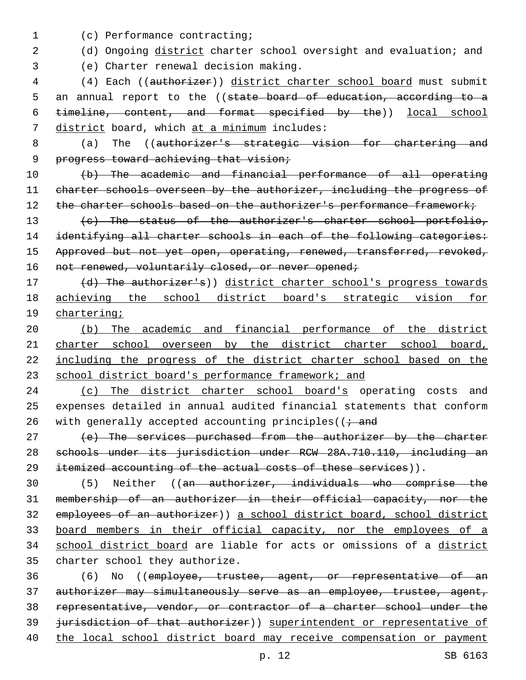(c) Performance contracting;1

- 2 (d) Ongoing district charter school oversight and evaluation; and
- 

(e) Charter renewal decision making.3

4 (4) Each ((authorizer)) district charter school board must submit 5 an annual report to the ((state board of education, according to a 6 timeline, content, and format specified by the)) local school 7 district board, which at a minimum includes:

- 8 (a) The ((authorizer's strategic vision for chartering and
	- 9 progress toward achieving that vision;

10 (b) The academic and financial performance of all operating 11 charter schools overseen by the authorizer, including the progress of 12 the charter schools based on the authorizer's performance framework;

13 (c) The status of the authorizer's charter school portfolio, 14 identifying all charter schools in each of the following categories: 15 Approved but not yet open, operating, renewed, transferred, revoked, 16 not renewed, voluntarily closed, or never opened;

17 (d) The authorizer's)) district charter school's progress towards 18 achieving the school district board's strategic vision for 19 chartering;

20 (b) The academic and financial performance of the district 21 charter school overseen by the district charter school board, 22 including the progress of the district charter school based on the 23 school district board's performance framework; and

24 (c) The district charter school board's operating costs and 25 expenses detailed in annual audited financial statements that conform 26 with generally accepted accounting principles( $(i \rightarrow$ and

27 (e) The services purchased from the authorizer by the charter 28 schools under its jurisdiction under RCW 28A.710.110, including an 29 itemized accounting of the actual costs of these services)).

 (5) Neither ((an authorizer, individuals who comprise the membership of an authorizer in their official capacity, nor the employees of an authorizer)) a school district board, school district board members in their official capacity, nor the employees of a 34 school district board are liable for acts or omissions of a district 35 charter school they authorize.

36 (6) No ((employee, trustee, agent, or representative of an 37 authorizer may simultaneously serve as an employee, trustee, agent, 38 representative, vendor, or contractor of a charter school under the 39 jurisdiction of that authorizer) superintendent or representative of 40 the local school district board may receive compensation or payment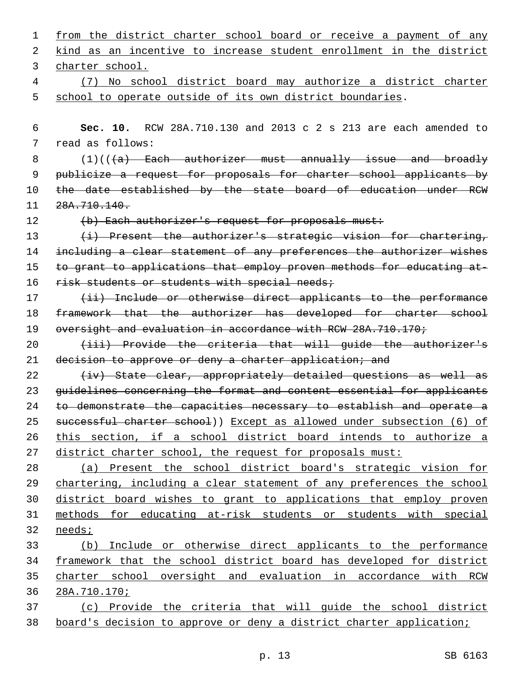| 1  | from the district charter school board or receive a payment of any       |
|----|--------------------------------------------------------------------------|
| 2  | kind as an incentive to increase student enrollment in the district      |
| 3  | charter school.                                                          |
| 4  | No school district board may authorize a district charter<br>(7)         |
| 5  | school to operate outside of its own district boundaries.                |
|    |                                                                          |
| 6  | RCW 28A.710.130 and 2013 c 2 s 213 are each amended to<br>Sec. 10.       |
| 7  | read as follows:                                                         |
| 8  | $(1)$ ( $(\overline{a})$ Each authorizer must annually issue and broadly |
| 9  | publicize a request for proposals for charter school applicants by       |
| 10 | the date established by the state board of education under RCW           |
| 11 | 28A.710.140.                                                             |
| 12 | (b) Each authorizer's request for proposals must:                        |
| 13 | (i) Present the authorizer's strategic vision for chartering,            |
| 14 | including a clear statement of any preferences the authorizer wishes     |
| 15 | to grant to applications that employ proven methods for educating at-    |
| 16 | risk students or students with special needs;                            |
| 17 | (ii) Include or otherwise direct applicants to the performance           |
| 18 | framework that the authorizer has developed for charter school           |
| 19 | oversight and evaluation in accordance with RCW 28A.710.170;             |
| 20 | (iii) Provide the criteria that will quide the authorizer's              |
| 21 | decision to approve or deny a charter application; and                   |
| 22 | (iv) State clear, appropriately detailed questions as well as            |
| 23 | quidelines concerning the format and content essential for applicants    |
| 24 | to demonstrate the capacities necessary to establish and operate a       |
| 25 | successful charter school)) Except as allowed under subsection (6) of    |
| 26 | this section, if a school district board intends to authorize a          |
| 27 | district charter school, the request for proposals must:                 |
| 28 | (a) Present the school district board's strategic vision for             |
| 29 | chartering, including a clear statement of any preferences the school    |
| 30 | district board wishes to grant to applications that employ proven        |
| 31 | methods for educating at-risk students or students with special          |
| 32 | needs;                                                                   |
| 33 | (b) Include or otherwise direct applicants to the performance            |
| 34 | framework that the school district board has developed for district      |
| 35 | charter school oversight and evaluation in accordance with RCW           |
| 36 | 28A.710.170;                                                             |
| 37 | (c) Provide the criteria that will guide the school district             |
| 38 | board's decision to approve or deny a district charter application;      |
|    |                                                                          |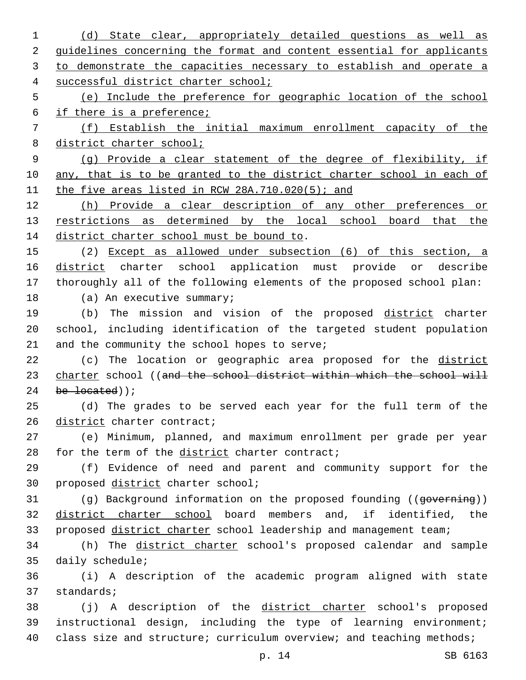1 (d) State clear, appropriately detailed questions as well as 2 guidelines concerning the format and content essential for applicants 3 to demonstrate the capacities necessary to establish and operate a 4 successful district charter school; 5 (e) Include the preference for geographic location of the school 6 if there is a preference; 7 (f) Establish the initial maximum enrollment capacity of the 8 district charter school; 9 (g) Provide a clear statement of the degree of flexibility, if 10 any, that is to be granted to the district charter school in each of 11 the five areas listed in RCW 28A.710.020(5); and 12 (h) Provide a clear description of any other preferences or 13 restrictions as determined by the local school board that the 14 district charter school must be bound to. 15 (2) Except as allowed under subsection (6) of this section, a 16 district charter school application must provide or describe 17 thoroughly all of the following elements of the proposed school plan: 18 (a) An executive summary; 19 (b) The mission and vision of the proposed district charter 20 school, including identification of the targeted student population 21 and the community the school hopes to serve; 22 (c) The location or geographic area proposed for the district 23 charter school ((and the school district within which the school will 24 be located)); 25 (d) The grades to be served each year for the full term of the 26 district charter contract; 27 (e) Minimum, planned, and maximum enrollment per grade per year 28 for the term of the district charter contract; 29 (f) Evidence of need and parent and community support for the 30 proposed district charter school; 31 (g) Background information on the proposed founding ((governing)) 32 district charter school board members and, if identified, the 33 proposed district charter school leadership and management team; 34 (h) The district charter school's proposed calendar and sample 35 daily schedule; 36 (i) A description of the academic program aligned with state 37 standards; 38 (j) A description of the district charter school's proposed 39 instructional design, including the type of learning environment; 40 class size and structure; curriculum overview; and teaching methods;

p. 14 SB 6163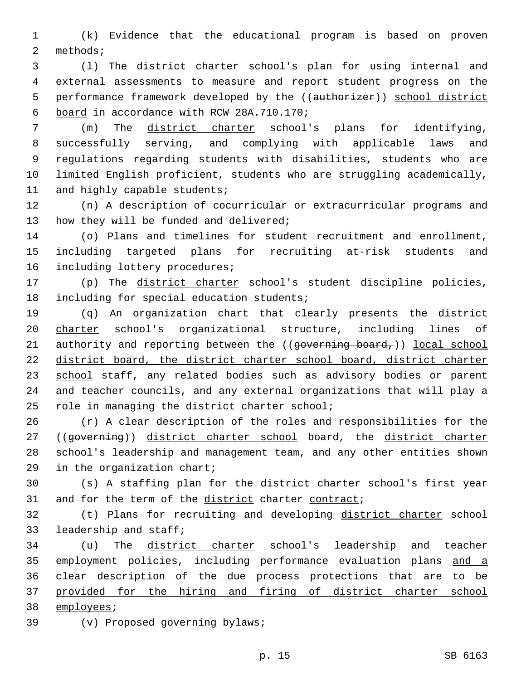1 (k) Evidence that the educational program is based on proven 2 methods;

3 (l) The district charter school's plan for using internal and 4 external assessments to measure and report student progress on the 5 performance framework developed by the ((authorizer)) school district board in accordance with RCW 28A.710.170;6

 (m) The district charter school's plans for identifying, successfully serving, and complying with applicable laws and regulations regarding students with disabilities, students who are limited English proficient, students who are struggling academically, 11 and highly capable students;

12 (n) A description of cocurricular or extracurricular programs and 13 how they will be funded and delivered;

14 (o) Plans and timelines for student recruitment and enrollment, 15 including targeted plans for recruiting at-risk students and 16 including lottery procedures;

17 (p) The district charter school's student discipline policies, 18 including for special education students;

19 (q) An organization chart that clearly presents the district 20 charter school's organizational structure, including lines of 21 authority and reporting between the  $((\text{governing board},))$  local school 22 district board, the district charter school board, district charter 23 school staff, any related bodies such as advisory bodies or parent 24 and teacher councils, and any external organizations that will play a 25 role in managing the district charter school;

26 (r) A clear description of the roles and responsibilities for the 27 ((governing)) district charter school board, the district charter 28 school's leadership and management team, and any other entities shown 29 in the organization chart;

30 (s) A staffing plan for the district charter school's first year 31 and for the term of the district charter contract;

32 (t) Plans for recruiting and developing district charter school 33 leadership and staff;

 (u) The district charter school's leadership and teacher employment policies, including performance evaluation plans and a clear description of the due process protections that are to be provided for the hiring and firing of district charter school 38 employees;

39 (v) Proposed governing bylaws;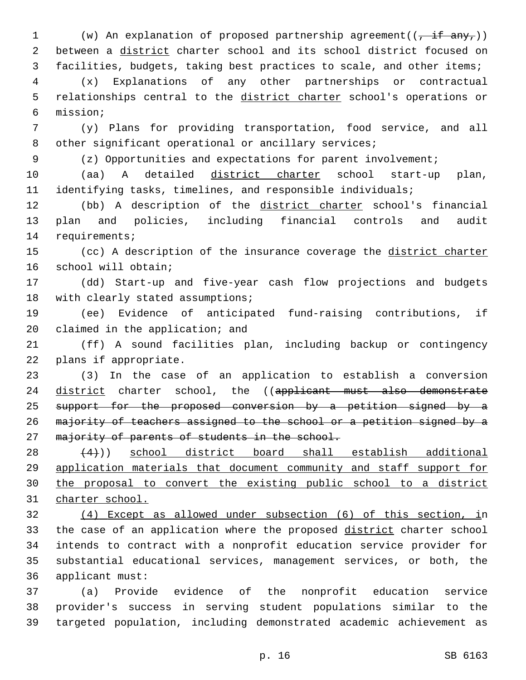1 (w) An explanation of proposed partnership agreement( $(\overline{f + i f + n y}$ )) 2 between a district charter school and its school district focused on 3 facilities, budgets, taking best practices to scale, and other items;

4 (x) Explanations of any other partnerships or contractual 5 relationships central to the district charter school's operations or mission;6

7 (y) Plans for providing transportation, food service, and all 8 other significant operational or ancillary services;

9 (z) Opportunities and expectations for parent involvement;

10 (aa) A detailed district charter school start-up plan, 11 identifying tasks, timelines, and responsible individuals;

12 (bb) A description of the district charter school's financial 13 plan and policies, including financial controls and audit 14 requirements;

15 (cc) A description of the insurance coverage the district charter 16 school will obtain;

17 (dd) Start-up and five-year cash flow projections and budgets 18 with clearly stated assumptions;

19 (ee) Evidence of anticipated fund-raising contributions, if 20 claimed in the application; and

21 (ff) A sound facilities plan, including backup or contingency 22 plans if appropriate.

23 (3) In the case of an application to establish a conversion 24 district charter school, the ((applicant must also demonstrate 25 support for the proposed conversion by a petition signed by a 26 majority of teachers assigned to the school or a petition signed by a 27 majority of parents of students in the school.

 $(4)$ )) school district board shall establish additional application materials that document community and staff support for the proposal to convert the existing public school to a district charter school.

32 (4) Except as allowed under subsection (6) of this section, in 33 the case of an application where the proposed district charter school 34 intends to contract with a nonprofit education service provider for 35 substantial educational services, management services, or both, the 36 applicant must:

37 (a) Provide evidence of the nonprofit education service 38 provider's success in serving student populations similar to the 39 targeted population, including demonstrated academic achievement as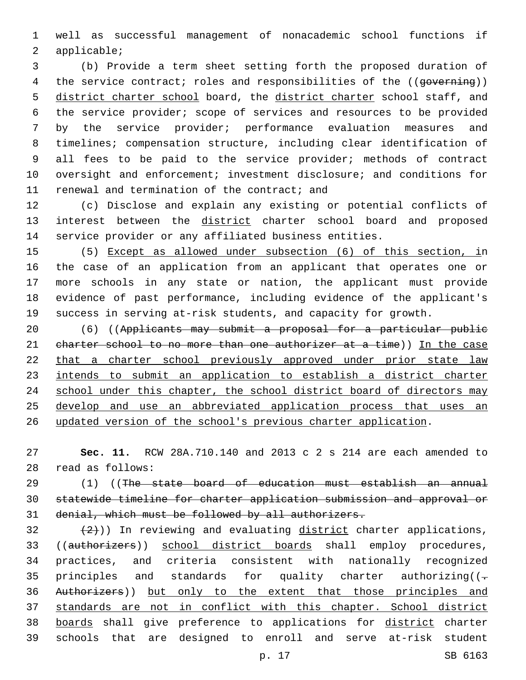well as successful management of nonacademic school functions if 2 applicable;

 (b) Provide a term sheet setting forth the proposed duration of 4 the service contract; roles and responsibilities of the ((governing)) 5 district charter school board, the district charter school staff, and the service provider; scope of services and resources to be provided by the service provider; performance evaluation measures and timelines; compensation structure, including clear identification of all fees to be paid to the service provider; methods of contract oversight and enforcement; investment disclosure; and conditions for 11 renewal and termination of the contract; and

 (c) Disclose and explain any existing or potential conflicts of 13 interest between the district charter school board and proposed service provider or any affiliated business entities.

 (5) Except as allowed under subsection (6) of this section, in the case of an application from an applicant that operates one or more schools in any state or nation, the applicant must provide evidence of past performance, including evidence of the applicant's success in serving at-risk students, and capacity for growth.

20 (6) ((Applicants may submit a proposal for a particular public 21 charter school to no more than one authorizer at a time)) In the case that a charter school previously approved under prior state law intends to submit an application to establish a district charter 24 school under this chapter, the school district board of directors may develop and use an abbreviated application process that uses an updated version of the school's previous charter application.

 **Sec. 11.** RCW 28A.710.140 and 2013 c 2 s 214 are each amended to read as follows:28

 (1) ((The state board of education must establish an annual statewide timeline for charter application submission and approval or denial, which must be followed by all authorizers.

 $(2)$  (2))) In reviewing and evaluating district charter applications, ((authorizers)) school district boards shall employ procedures, practices, and criteria consistent with nationally recognized 35 principles and standards for quality charter authorizing( $(-$  Authorizers)) but only to the extent that those principles and standards are not in conflict with this chapter. School district 38 boards shall give preference to applications for district charter schools that are designed to enroll and serve at-risk student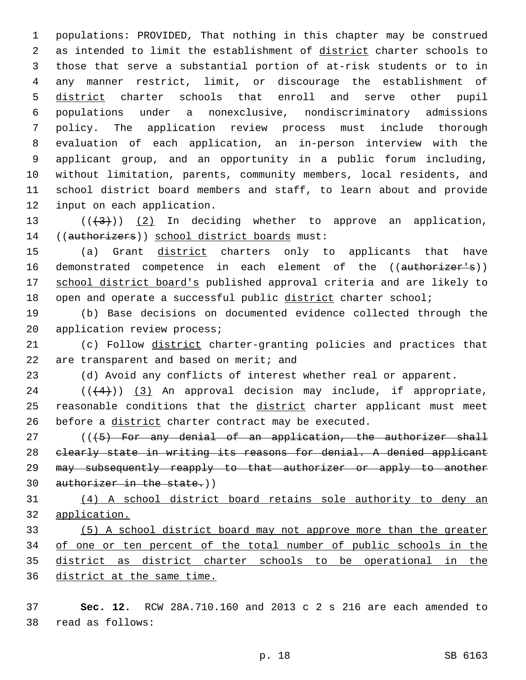populations: PROVIDED, That nothing in this chapter may be construed as intended to limit the establishment of district charter schools to those that serve a substantial portion of at-risk students or to in any manner restrict, limit, or discourage the establishment of district charter schools that enroll and serve other pupil populations under a nonexclusive, nondiscriminatory admissions policy. The application review process must include thorough evaluation of each application, an in-person interview with the applicant group, and an opportunity in a public forum including, without limitation, parents, community members, local residents, and school district board members and staff, to learn about and provide 12 input on each application.

13  $((+3))$   $(2)$  In deciding whether to approve an application, 14 ((authorizers)) school district boards must:

15 (a) Grant district charters only to applicants that have 16 demonstrated competence in each element of the ((authorizer's)) school district board's published approval criteria and are likely to open and operate a successful public district charter school;

 (b) Base decisions on documented evidence collected through the 20 application review process;

21 (c) Follow district charter-granting policies and practices that 22 are transparent and based on merit; and

(d) Avoid any conflicts of interest whether real or apparent.

  $((+4))$   $(3)$  An approval decision may include, if appropriate, 25 reasonable conditions that the district charter applicant must meet 26 before a district charter contract may be executed.

27 (((45) For any denial of an application, the authorizer shall clearly state in writing its reasons for denial. A denied applicant 29 may subsequently reapply to that authorizer or apply to another 30 authorizer in the state.))

 (4) A school district board retains sole authority to deny an application.

 (5) A school district board may not approve more than the greater of one or ten percent of the total number of public schools in the district as district charter schools to be operational in the district at the same time.

 **Sec. 12.** RCW 28A.710.160 and 2013 c 2 s 216 are each amended to read as follows:38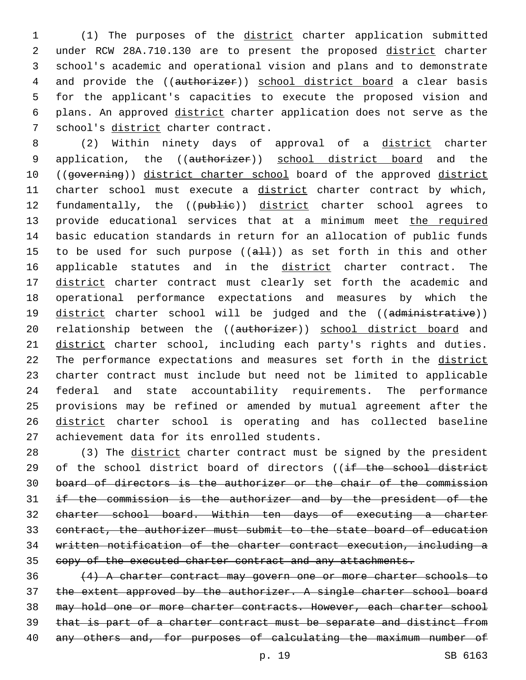(1) The purposes of the district charter application submitted under RCW 28A.710.130 are to present the proposed district charter school's academic and operational vision and plans and to demonstrate 4 and provide the ((authorizer)) school district board a clear basis for the applicant's capacities to execute the proposed vision and plans. An approved district charter application does not serve as the 7 school's district charter contract.

8 (2) Within ninety days of approval of a district charter 9 application, the ((authorizer)) school district board and the 10 ((governing)) district charter school board of the approved district 11 charter school must execute a district charter contract by which, 12 fundamentally, the ((publie)) district charter school agrees to 13 provide educational services that at a minimum meet the required 14 basic education standards in return for an allocation of public funds 15 to be used for such purpose  $((a+1)(x))$  as set forth in this and other 16 applicable statutes and in the district charter contract. The 17 district charter contract must clearly set forth the academic and 18 operational performance expectations and measures by which the 19 district charter school will be judged and the ((administrative)) 20 relationship between the ((authorizer)) school district board and 21 district charter school, including each party's rights and duties. 22 The performance expectations and measures set forth in the district 23 charter contract must include but need not be limited to applicable 24 federal and state accountability requirements. The performance 25 provisions may be refined or amended by mutual agreement after the 26 district charter school is operating and has collected baseline 27 achievement data for its enrolled students.

28 (3) The district charter contract must be signed by the president 29 of the school district board of directors ((if the school district board of directors is the authorizer or the chair of the commission if the commission is the authorizer and by the president of the charter school board. Within ten days of executing a charter contract, the authorizer must submit to the state board of education written notification of the charter contract execution, including a 35 copy of the executed charter contract and any attachments.

36 (4) A charter contract may govern one or more charter schools to 37 the extent approved by the authorizer. A single charter school board 38 may hold one or more charter contracts. However, each charter school 39 that is part of a charter contract must be separate and distinct from 40 any others and, for purposes of calculating the maximum number of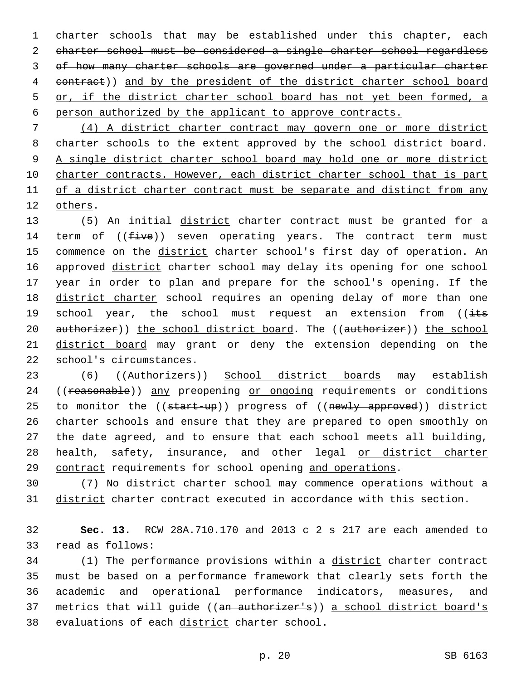1 charter schools that may be established under this chapter, each charter school must be considered a single charter school regardless of how many charter schools are governed under a particular charter contract)) and by the president of the district charter school board 5 or, if the district charter school board has not yet been formed, a person authorized by the applicant to approve contracts.

7 (4) A district charter contract may govern one or more district 8 charter schools to the extent approved by the school district board. 9 A single district charter school board may hold one or more district 10 charter contracts. However, each district charter school that is part 11 of a district charter contract must be separate and distinct from any 12 others.

13 (5) An initial district charter contract must be granted for a 14 term of  $((five))$  seven operating years. The contract term must 15 commence on the district charter school's first day of operation. An 16 approved district charter school may delay its opening for one school 17 year in order to plan and prepare for the school's opening. If the 18 district charter school requires an opening delay of more than one 19 school year, the school must request an extension from ((its 20 authorizer)) the school district board. The ((authorizer)) the school 21 district board may grant or deny the extension depending on the 22 school's circumstances.

23 (6) ((Authorizers)) School district boards may establish 24 ((reasonable)) any preopening or ongoing requirements or conditions 25 to monitor the ((start-up)) progress of ((newly approved)) district 26 charter schools and ensure that they are prepared to open smoothly on 27 the date agreed, and to ensure that each school meets all building, 28 health, safety, insurance, and other legal or district charter 29 contract requirements for school opening and operations.

30 (7) No district charter school may commence operations without a 31 district charter contract executed in accordance with this section.

32 **Sec. 13.** RCW 28A.710.170 and 2013 c 2 s 217 are each amended to 33 read as follows:

34 (1) The performance provisions within a district charter contract 35 must be based on a performance framework that clearly sets forth the 36 academic and operational performance indicators, measures, and 37 metrics that will guide ((an authorizer's)) a school district board's 38 evaluations of each district charter school.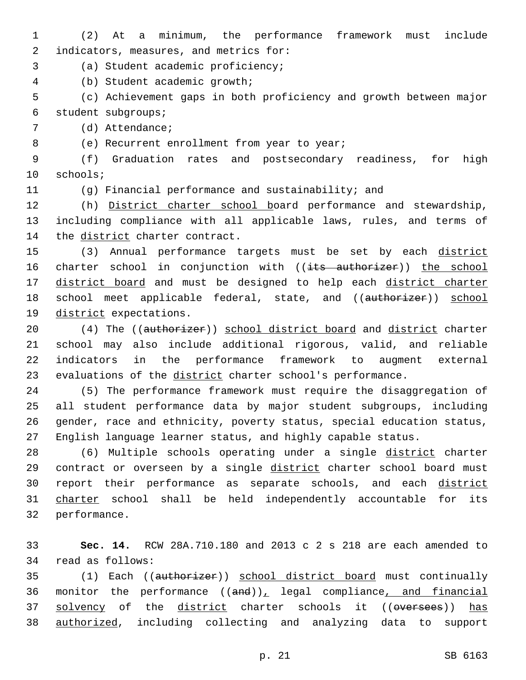- 1 (2) At a minimum, the performance framework must include 2 indicators, measures, and metrics for:
- (a) Student academic proficiency;3
- (b) Student academic growth;4

5 (c) Achievement gaps in both proficiency and growth between major student subgroups;6

7 (d) Attendance;

8 (e) Recurrent enrollment from year to year;

9 (f) Graduation rates and postsecondary readiness, for high 10 schools;

11 (g) Financial performance and sustainability; and

12 (h) District charter school board performance and stewardship, 13 including compliance with all applicable laws, rules, and terms of 14 the district charter contract.

15 (3) Annual performance targets must be set by each district 16 charter school in conjunction with ((its authorizer)) the school 17 district board and must be designed to help each district charter 18 school meet applicable federal, state, and ((authorizer)) school 19 district expectations.

20 (4) The ((authorizer)) school district board and district charter 21 school may also include additional rigorous, valid, and reliable 22 indicators in the performance framework to augment external 23 evaluations of the district charter school's performance.

 (5) The performance framework must require the disaggregation of all student performance data by major student subgroups, including gender, race and ethnicity, poverty status, special education status, English language learner status, and highly capable status.

28 (6) Multiple schools operating under a single district charter 29 contract or overseen by a single district charter school board must 30 report their performance as separate schools, and each district 31 charter school shall be held independently accountable for its 32 performance.

33 **Sec. 14.** RCW 28A.710.180 and 2013 c 2 s 218 are each amended to 34 read as follows:

35 (1) Each ((authorizer)) school district board must continually 36 monitor the performance  $((and))_L$  legal compliance, and financial 37 solvency of the district charter schools it ((oversees)) has 38 authorized, including collecting and analyzing data to support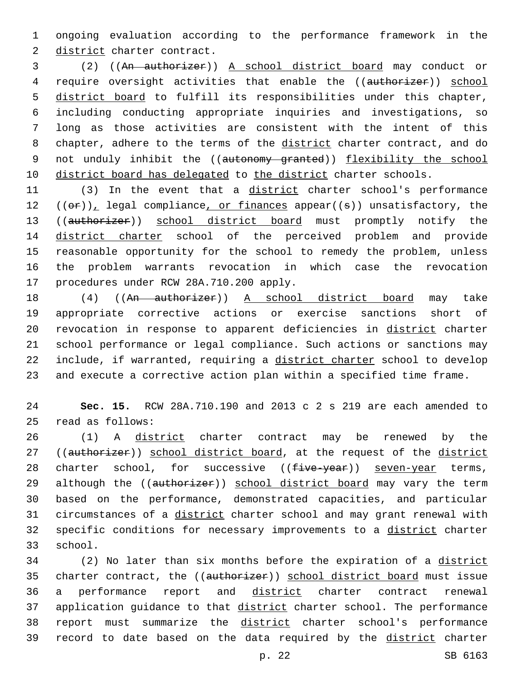1 ongoing evaluation according to the performance framework in the 2 district charter contract.

3 (2) ((An authorizer)) A school district board may conduct or 4 require oversight activities that enable the ((authorizer)) school 5 district board to fulfill its responsibilities under this chapter, 6 including conducting appropriate inquiries and investigations, so 7 long as those activities are consistent with the intent of this 8 chapter, adhere to the terms of the district charter contract, and do 9 not unduly inhibit the ((autonomy granted)) flexibility the school 10 district board has delegated to the district charter schools.

11 (3) In the event that a district charter school's performance 12  $((\theta \cdot \mathbf{r}))$ , legal compliance, or finances appear((s)) unsatisfactory, the 13 ((authorizer)) school district board must promptly notify the 14 district charter school of the perceived problem and provide 15 reasonable opportunity for the school to remedy the problem, unless 16 the problem warrants revocation in which case the revocation 17 procedures under RCW 28A.710.200 apply.

18 (4) ((An authorizer)) A school district board may take appropriate corrective actions or exercise sanctions short of revocation in response to apparent deficiencies in district charter school performance or legal compliance. Such actions or sanctions may include, if warranted, requiring a district charter school to develop and execute a corrective action plan within a specified time frame.

24 **Sec. 15.** RCW 28A.710.190 and 2013 c 2 s 219 are each amended to read as follows:25

26 (1) A district charter contract may be renewed by the 27 ((authorizer)) school district board, at the request of the district 28 charter school, for successive  $((f\text{-}ive-year))$  seven-year terms, 29 although the ((authorizer)) school district board may vary the term 30 based on the performance, demonstrated capacities, and particular 31 circumstances of a district charter school and may grant renewal with 32 specific conditions for necessary improvements to a district charter 33 school.

34 (2) No later than six months before the expiration of a district 35 charter contract, the ((authorizer)) school district board must issue 36 a performance report and district charter contract renewal 37 application guidance to that district charter school. The performance 38 report must summarize the district charter school's performance 39 record to date based on the data required by the district charter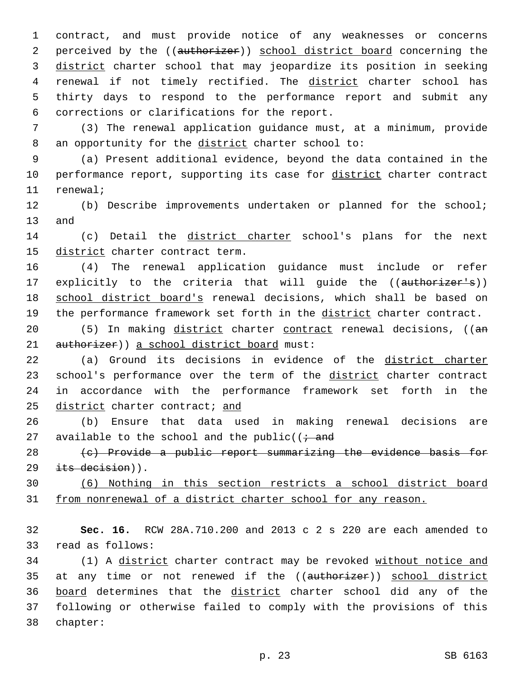1 contract, and must provide notice of any weaknesses or concerns 2 perceived by the ((authorizer)) school district board concerning the 3 district charter school that may jeopardize its position in seeking 4 renewal if not timely rectified. The district charter school has 5 thirty days to respond to the performance report and submit any 6 corrections or clarifications for the report.

7 (3) The renewal application guidance must, at a minimum, provide 8 an opportunity for the district charter school to:

9 (a) Present additional evidence, beyond the data contained in the 10 performance report, supporting its case for district charter contract 11 renewal;

12 (b) Describe improvements undertaken or planned for the school; 13 and

14 (c) Detail the district charter school's plans for the next 15 district charter contract term.

16 (4) The renewal application guidance must include or refer 17 explicitly to the criteria that will guide the ((authorizer's)) 18 school district board's renewal decisions, which shall be based on 19 the performance framework set forth in the district charter contract.

20 (5) In making district charter contract renewal decisions, ((an 21 authorizer)) a school district board must:

22 (a) Ground its decisions in evidence of the district charter 23 school's performance over the term of the district charter contract 24 in accordance with the performance framework set forth in the 25 district charter contract; and

26 (b) Ensure that data used in making renewal decisions are 27 available to the school and the public( $\overline{z}$  and

28 (c) Provide a public report summarizing the evidence basis for  $29$  its decision)).

30 (6) Nothing in this section restricts a school district board 31 from nonrenewal of a district charter school for any reason.

32 **Sec. 16.** RCW 28A.710.200 and 2013 c 2 s 220 are each amended to 33 read as follows:

34 (1) A district charter contract may be revoked without notice and 35 at any time or not renewed if the ((authorizer)) school district 36 board determines that the district charter school did any of the 37 following or otherwise failed to comply with the provisions of this chapter:38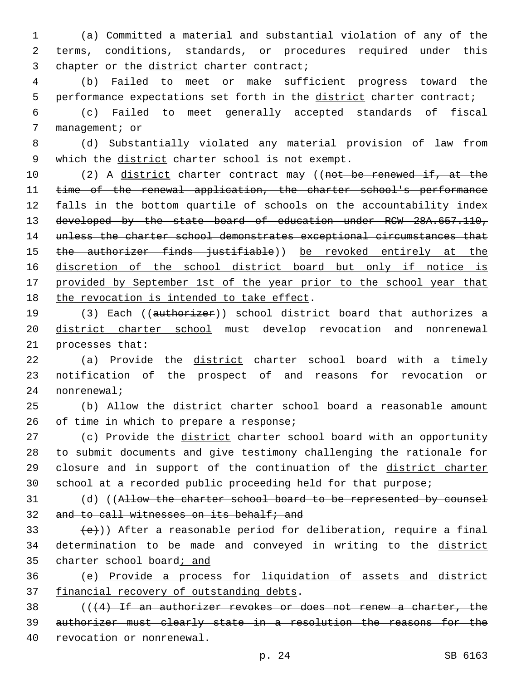1 (a) Committed a material and substantial violation of any of the 2 terms, conditions, standards, or procedures required under this 3 chapter or the district charter contract;

4 (b) Failed to meet or make sufficient progress toward the 5 performance expectations set forth in the district charter contract;

6 (c) Failed to meet generally accepted standards of fiscal 7 management; or

8 (d) Substantially violated any material provision of law from 9 which the district charter school is not exempt.

10 (2) A district charter contract may ((not be renewed if, at the 11 time of the renewal application, the charter school's performance 12 falls in the bottom quartile of schools on the accountability index 13 developed by the state board of education under RCW 28A.657.110, 14 unless the charter school demonstrates exceptional circumstances that 15 the authorizer finds justifiable)) be revoked entirely at the 16 discretion of the school district board but only if notice is 17 provided by September 1st of the year prior to the school year that 18 the revocation is intended to take effect.

19 (3) Each ((authorizer)) school district board that authorizes a 20 district charter school must develop revocation and nonrenewal 21 processes that:

22 (a) Provide the district charter school board with a timely 23 notification of the prospect of and reasons for revocation or 24 nonrenewal;

25 (b) Allow the district charter school board a reasonable amount  $26$  of time in which to prepare a response;

27 (c) Provide the district charter school board with an opportunity to submit documents and give testimony challenging the rationale for closure and in support of the continuation of the district charter school at a recorded public proceeding held for that purpose;

31 (d) ((Allow the charter school board to be represented by counsel 32 and to call witnesses on its behalf; and

33  $(e)$ )) After a reasonable period for deliberation, require a final 34 determination to be made and conveyed in writing to the district 35 charter school board; and

36 (e) Provide a process for liquidation of assets and district 37 financial recovery of outstanding debts.

38  $($   $($   $($   $+4)$  If an authorizer revokes or does not renew a charter, the 39 authorizer must clearly state in a resolution the reasons for the 40 revocation or nonrenewal.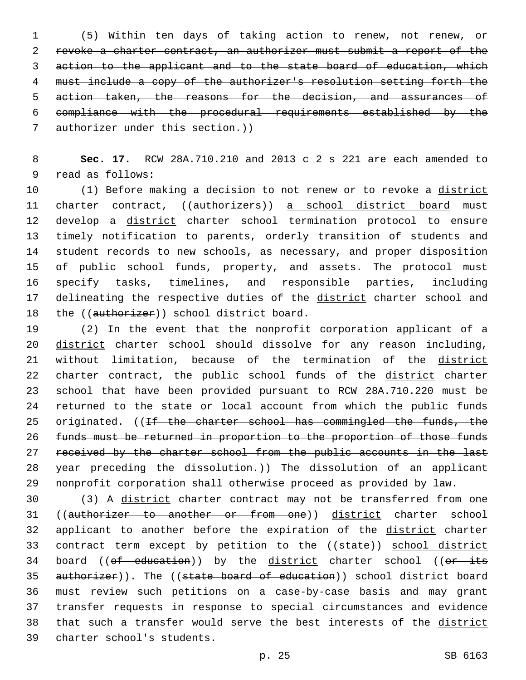(5) Within ten days of taking action to renew, not renew, or revoke a charter contract, an authorizer must submit a report of the action to the applicant and to the state board of education, which must include a copy of the authorizer's resolution setting forth the action taken, the reasons for the decision, and assurances of compliance with the procedural requirements established by the authorizer under this section.))

8 **Sec. 17.** RCW 28A.710.210 and 2013 c 2 s 221 are each amended to 9 read as follows:

10 (1) Before making a decision to not renew or to revoke a district 11 charter contract, ((authorizers)) a school district board must 12 develop a district charter school termination protocol to ensure 13 timely notification to parents, orderly transition of students and 14 student records to new schools, as necessary, and proper disposition 15 of public school funds, property, and assets. The protocol must 16 specify tasks, timelines, and responsible parties, including 17 delineating the respective duties of the district charter school and 18 the ((authorizer)) school district board.

19 (2) In the event that the nonprofit corporation applicant of a 20 district charter school should dissolve for any reason including, 21 without limitation, because of the termination of the district 22 charter contract, the public school funds of the district charter 23 school that have been provided pursuant to RCW 28A.710.220 must be 24 returned to the state or local account from which the public funds 25 originated. ((If the charter school has commingled the funds, the 26 funds must be returned in proportion to the proportion of those funds 27 received by the charter school from the public accounts in the last 28 year preceding the dissolution.)) The dissolution of an applicant 29 nonprofit corporation shall otherwise proceed as provided by law.

30 (3) A district charter contract may not be transferred from one 31 ((authorizer to another or from one)) district charter school 32 applicant to another before the expiration of the district charter 33 contract term except by petition to the ((state)) school district 34 board ((of education)) by the district charter school ((or its 35 authorizer)). The ((state board of education)) school district board 36 must review such petitions on a case-by-case basis and may grant 37 transfer requests in response to special circumstances and evidence 38 that such a transfer would serve the best interests of the district 39 charter school's students.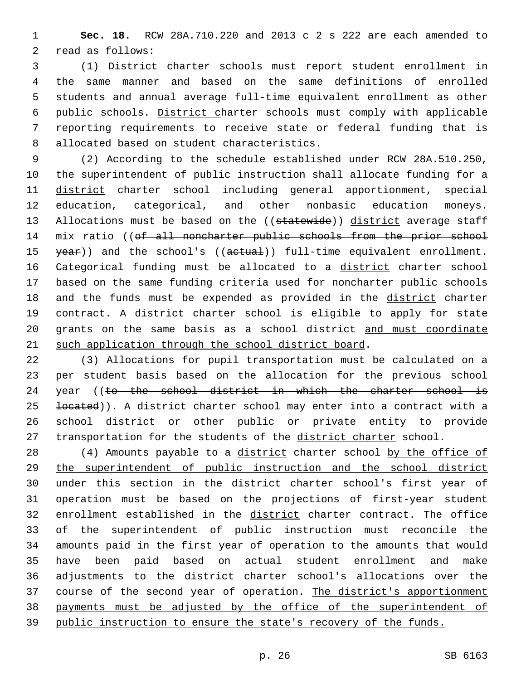1 **Sec. 18.** RCW 28A.710.220 and 2013 c 2 s 222 are each amended to 2 read as follows:

 (1) District charter schools must report student enrollment in the same manner and based on the same definitions of enrolled students and annual average full-time equivalent enrollment as other public schools. District charter schools must comply with applicable reporting requirements to receive state or federal funding that is 8 allocated based on student characteristics.

9 (2) According to the schedule established under RCW 28A.510.250, 10 the superintendent of public instruction shall allocate funding for a 11 district charter school including general apportionment, special 12 education, categorical, and other nonbasic education moneys. 13 Allocations must be based on the ((statewide)) district average staff 14 mix ratio ((of all noncharter public schools from the prior school 15 year)) and the school's ((aetual)) full-time equivalent enrollment. 16 Categorical funding must be allocated to a district charter school 17 based on the same funding criteria used for noncharter public schools 18 and the funds must be expended as provided in the district charter 19 contract. A district charter school is eligible to apply for state 20 grants on the same basis as a school district and must coordinate 21 such application through the school district board.

22 (3) Allocations for pupil transportation must be calculated on a 23 per student basis based on the allocation for the previous school 24 year ((to the school district in which the charter school is 25 located)). A district charter school may enter into a contract with a 26 school district or other public or private entity to provide 27 transportation for the students of the district charter school.

28 (4) Amounts payable to a district charter school by the office of 29 the superintendent of public instruction and the school district 30 under this section in the district charter school's first year of 31 operation must be based on the projections of first-year student 32 enrollment established in the district charter contract. The office 33 of the superintendent of public instruction must reconcile the 34 amounts paid in the first year of operation to the amounts that would 35 have been paid based on actual student enrollment and make 36 adjustments to the district charter school's allocations over the 37 course of the second year of operation. The district's apportionment 38 payments must be adjusted by the office of the superintendent of 39 public instruction to ensure the state's recovery of the funds.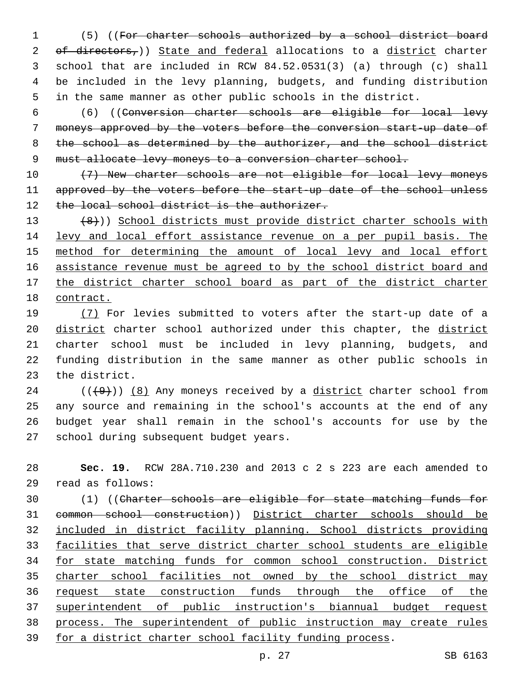(5) ((For charter schools authorized by a school district board 2 of directors,)) State and federal allocations to a district charter school that are included in RCW 84.52.0531(3) (a) through (c) shall be included in the levy planning, budgets, and funding distribution in the same manner as other public schools in the district.

6 (6) ((Conversion charter schools are eligible for local levy 7 moneys approved by the voters before the conversion start-up date of 8 the school as determined by the authorizer, and the school district 9 must allocate levy moneys to a conversion charter school.

10 (7) New charter schools are not eligible for local levy moneys 11 approved by the voters before the start-up date of the school unless 12 the local school district is the authorizer.

13 (8))) School districts must provide district charter schools with 14 levy and local effort assistance revenue on a per pupil basis. The 15 method for determining the amount of local levy and local effort 16 assistance revenue must be agreed to by the school district board and 17 the district charter school board as part of the district charter 18 contract.

19 (7) For levies submitted to voters after the start-up date of a 20 district charter school authorized under this chapter, the district 21 charter school must be included in levy planning, budgets, and 22 funding distribution in the same manner as other public schools in 23 the district.

 ( $(\frac{49}{})$ )  $(8)$  Any moneys received by a district charter school from any source and remaining in the school's accounts at the end of any budget year shall remain in the school's accounts for use by the 27 school during subsequent budget years.

28 **Sec. 19.** RCW 28A.710.230 and 2013 c 2 s 223 are each amended to read as follows:29

 (1) ((Charter schools are eligible for state matching funds for common school construction)) District charter schools should be included in district facility planning. School districts providing facilities that serve district charter school students are eligible for state matching funds for common school construction. District charter school facilities not owned by the school district may request state construction funds through the office of the superintendent of public instruction's biannual budget request process. The superintendent of public instruction may create rules for a district charter school facility funding process.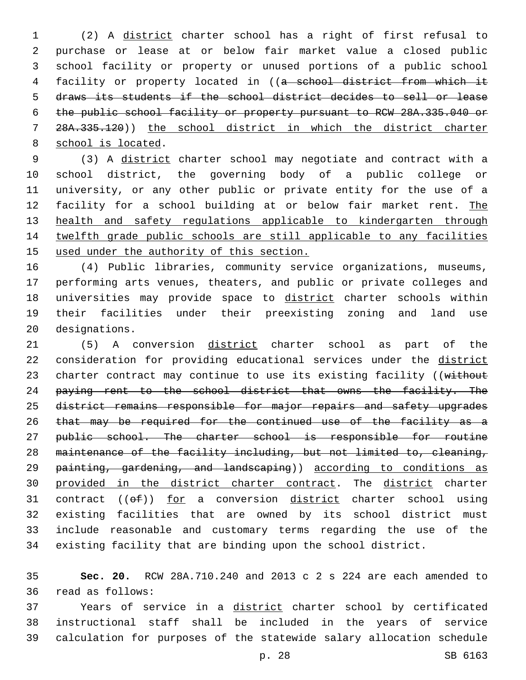(2) A district charter school has a right of first refusal to purchase or lease at or below fair market value a closed public school facility or property or unused portions of a public school facility or property located in ((a school district from which it draws its students if the school district decides to sell or lease the public school facility or property pursuant to RCW 28A.335.040 or 28A.335.120)) the school district in which the district charter 8 school is located.

 (3) A district charter school may negotiate and contract with a school district, the governing body of a public college or university, or any other public or private entity for the use of a 12 facility for a school building at or below fair market rent. The health and safety regulations applicable to kindergarten through twelfth grade public schools are still applicable to any facilities used under the authority of this section.

 (4) Public libraries, community service organizations, museums, performing arts venues, theaters, and public or private colleges and 18 universities may provide space to district charter schools within their facilities under their preexisting zoning and land use 20 designations.

 (5) A conversion district charter school as part of the consideration for providing educational services under the district 23 charter contract may continue to use its existing facility ((without 24 paying rent to the school district that owns the facility. The 25 district remains responsible for major repairs and safety upgrades 26 that may be required for the continued use of the facility as a 27 public school. The charter school is responsible for routine maintenance of the facility including, but not limited to, cleaning, 29 <del>painting, gardening, and landscaping</del>)) according to conditions as 30 provided in the district charter contract. The district charter 31 contract  $((e f))$  for a conversion district charter school using existing facilities that are owned by its school district must include reasonable and customary terms regarding the use of the existing facility that are binding upon the school district.

 **Sec. 20.** RCW 28A.710.240 and 2013 c 2 s 224 are each amended to read as follows:36

 Years of service in a district charter school by certificated instructional staff shall be included in the years of service calculation for purposes of the statewide salary allocation schedule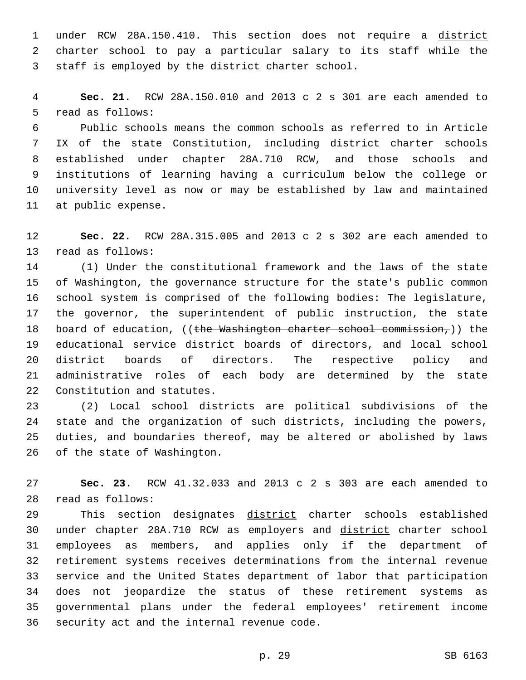under RCW 28A.150.410. This section does not require a district charter school to pay a particular salary to its staff while the 3 staff is employed by the district charter school.

 **Sec. 21.** RCW 28A.150.010 and 2013 c 2 s 301 are each amended to 5 read as follows:

 Public schools means the common schools as referred to in Article 7 IX of the state Constitution, including district charter schools established under chapter 28A.710 RCW, and those schools and institutions of learning having a curriculum below the college or university level as now or may be established by law and maintained 11 at public expense.

 **Sec. 22.** RCW 28A.315.005 and 2013 c 2 s 302 are each amended to 13 read as follows:

 (1) Under the constitutional framework and the laws of the state of Washington, the governance structure for the state's public common school system is comprised of the following bodies: The legislature, the governor, the superintendent of public instruction, the state 18 board of education, ((the Washington charter school commission,)) the educational service district boards of directors, and local school district boards of directors. The respective policy and administrative roles of each body are determined by the state 22 Constitution and statutes.

 (2) Local school districts are political subdivisions of the state and the organization of such districts, including the powers, duties, and boundaries thereof, may be altered or abolished by laws 26 of the state of Washington.

 **Sec. 23.** RCW 41.32.033 and 2013 c 2 s 303 are each amended to read as follows:28

29 This section designates district charter schools established under chapter 28A.710 RCW as employers and district charter school employees as members, and applies only if the department of retirement systems receives determinations from the internal revenue service and the United States department of labor that participation does not jeopardize the status of these retirement systems as governmental plans under the federal employees' retirement income 36 security act and the internal revenue code.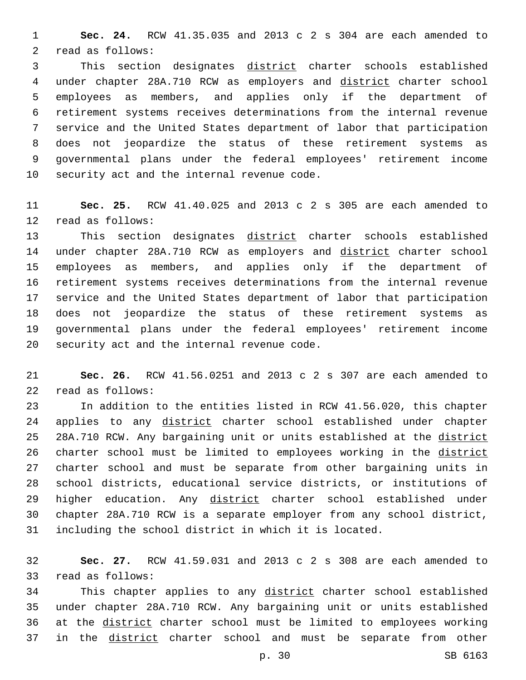**Sec. 24.** RCW 41.35.035 and 2013 c 2 s 304 are each amended to 2 read as follows:

 This section designates district charter schools established under chapter 28A.710 RCW as employers and district charter school employees as members, and applies only if the department of retirement systems receives determinations from the internal revenue service and the United States department of labor that participation does not jeopardize the status of these retirement systems as governmental plans under the federal employees' retirement income 10 security act and the internal revenue code.

 **Sec. 25.** RCW 41.40.025 and 2013 c 2 s 305 are each amended to 12 read as follows:

13 This section designates district charter schools established 14 under chapter 28A.710 RCW as employers and district charter school employees as members, and applies only if the department of retirement systems receives determinations from the internal revenue service and the United States department of labor that participation does not jeopardize the status of these retirement systems as governmental plans under the federal employees' retirement income 20 security act and the internal revenue code.

 **Sec. 26.** RCW 41.56.0251 and 2013 c 2 s 307 are each amended to 22 read as follows:

 In addition to the entities listed in RCW 41.56.020, this chapter 24 applies to any district charter school established under chapter 25 28A.710 RCW. Any bargaining unit or units established at the district 26 charter school must be limited to employees working in the district charter school and must be separate from other bargaining units in school districts, educational service districts, or institutions of 29 higher education. Any district charter school established under chapter 28A.710 RCW is a separate employer from any school district, including the school district in which it is located.

 **Sec. 27.** RCW 41.59.031 and 2013 c 2 s 308 are each amended to 33 read as follows:

34 This chapter applies to any district charter school established under chapter 28A.710 RCW. Any bargaining unit or units established at the district charter school must be limited to employees working 37 in the district charter school and must be separate from other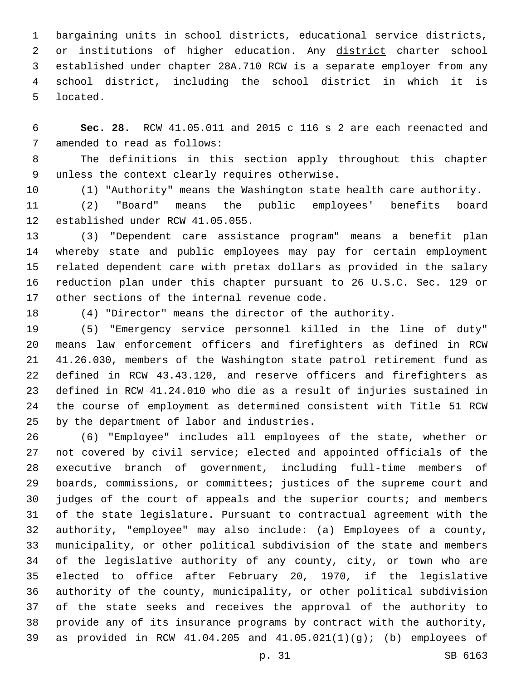bargaining units in school districts, educational service districts, 2 or institutions of higher education. Any district charter school established under chapter 28A.710 RCW is a separate employer from any school district, including the school district in which it is 5 located.

 **Sec. 28.** RCW 41.05.011 and 2015 c 116 s 2 are each reenacted and 7 amended to read as follows:

 The definitions in this section apply throughout this chapter 9 unless the context clearly requires otherwise.

(1) "Authority" means the Washington state health care authority.

 (2) "Board" means the public employees' benefits board 12 established under RCW 41.05.055.

 (3) "Dependent care assistance program" means a benefit plan whereby state and public employees may pay for certain employment related dependent care with pretax dollars as provided in the salary reduction plan under this chapter pursuant to 26 U.S.C. Sec. 129 or 17 other sections of the internal revenue code.

(4) "Director" means the director of the authority.

 (5) "Emergency service personnel killed in the line of duty" means law enforcement officers and firefighters as defined in RCW 41.26.030, members of the Washington state patrol retirement fund as defined in RCW 43.43.120, and reserve officers and firefighters as defined in RCW 41.24.010 who die as a result of injuries sustained in the course of employment as determined consistent with Title 51 RCW 25 by the department of labor and industries.

 (6) "Employee" includes all employees of the state, whether or not covered by civil service; elected and appointed officials of the executive branch of government, including full-time members of boards, commissions, or committees; justices of the supreme court and judges of the court of appeals and the superior courts; and members of the state legislature. Pursuant to contractual agreement with the authority, "employee" may also include: (a) Employees of a county, municipality, or other political subdivision of the state and members of the legislative authority of any county, city, or town who are elected to office after February 20, 1970, if the legislative authority of the county, municipality, or other political subdivision of the state seeks and receives the approval of the authority to provide any of its insurance programs by contract with the authority, as provided in RCW 41.04.205 and 41.05.021(1)(g); (b) employees of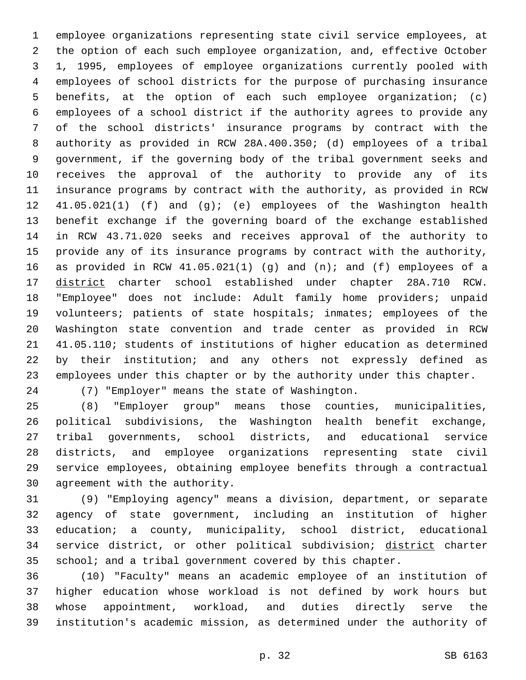employee organizations representing state civil service employees, at the option of each such employee organization, and, effective October 1, 1995, employees of employee organizations currently pooled with employees of school districts for the purpose of purchasing insurance benefits, at the option of each such employee organization; (c) employees of a school district if the authority agrees to provide any of the school districts' insurance programs by contract with the authority as provided in RCW 28A.400.350; (d) employees of a tribal government, if the governing body of the tribal government seeks and receives the approval of the authority to provide any of its insurance programs by contract with the authority, as provided in RCW 41.05.021(1) (f) and (g); (e) employees of the Washington health benefit exchange if the governing board of the exchange established in RCW 43.71.020 seeks and receives approval of the authority to provide any of its insurance programs by contract with the authority, as provided in RCW 41.05.021(1) (g) and (n); and (f) employees of a district charter school established under chapter 28A.710 RCW. "Employee" does not include: Adult family home providers; unpaid volunteers; patients of state hospitals; inmates; employees of the Washington state convention and trade center as provided in RCW 41.05.110; students of institutions of higher education as determined by their institution; and any others not expressly defined as employees under this chapter or by the authority under this chapter.

(7) "Employer" means the state of Washington.24

 (8) "Employer group" means those counties, municipalities, political subdivisions, the Washington health benefit exchange, tribal governments, school districts, and educational service districts, and employee organizations representing state civil service employees, obtaining employee benefits through a contractual 30 agreement with the authority.

 (9) "Employing agency" means a division, department, or separate agency of state government, including an institution of higher education; a county, municipality, school district, educational 34 service district, or other political subdivision; district charter 35 school; and a tribal government covered by this chapter.

 (10) "Faculty" means an academic employee of an institution of higher education whose workload is not defined by work hours but whose appointment, workload, and duties directly serve the institution's academic mission, as determined under the authority of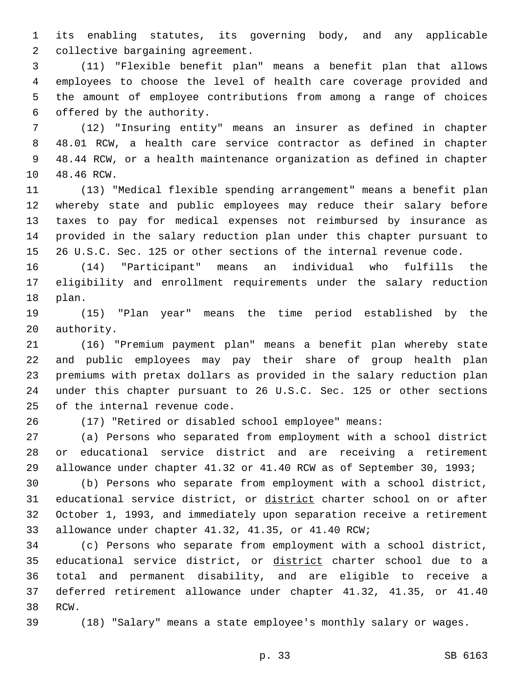its enabling statutes, its governing body, and any applicable 2 collective bargaining agreement.

 (11) "Flexible benefit plan" means a benefit plan that allows employees to choose the level of health care coverage provided and the amount of employee contributions from among a range of choices 6 offered by the authority.

 (12) "Insuring entity" means an insurer as defined in chapter 48.01 RCW, a health care service contractor as defined in chapter 48.44 RCW, or a health maintenance organization as defined in chapter 10 48.46 RCW.

 (13) "Medical flexible spending arrangement" means a benefit plan whereby state and public employees may reduce their salary before taxes to pay for medical expenses not reimbursed by insurance as provided in the salary reduction plan under this chapter pursuant to 26 U.S.C. Sec. 125 or other sections of the internal revenue code.

 (14) "Participant" means an individual who fulfills the eligibility and enrollment requirements under the salary reduction 18 plan.

 (15) "Plan year" means the time period established by the 20 authority.

 (16) "Premium payment plan" means a benefit plan whereby state and public employees may pay their share of group health plan premiums with pretax dollars as provided in the salary reduction plan under this chapter pursuant to 26 U.S.C. Sec. 125 or other sections 25 of the internal revenue code.

(17) "Retired or disabled school employee" means:

 (a) Persons who separated from employment with a school district or educational service district and are receiving a retirement allowance under chapter 41.32 or 41.40 RCW as of September 30, 1993;

 (b) Persons who separate from employment with a school district, 31 educational service district, or district charter school on or after October 1, 1993, and immediately upon separation receive a retirement allowance under chapter 41.32, 41.35, or 41.40 RCW;

 (c) Persons who separate from employment with a school district, 35 educational service district, or district charter school due to a total and permanent disability, and are eligible to receive a deferred retirement allowance under chapter 41.32, 41.35, or 41.40 38 RCW.

(18) "Salary" means a state employee's monthly salary or wages.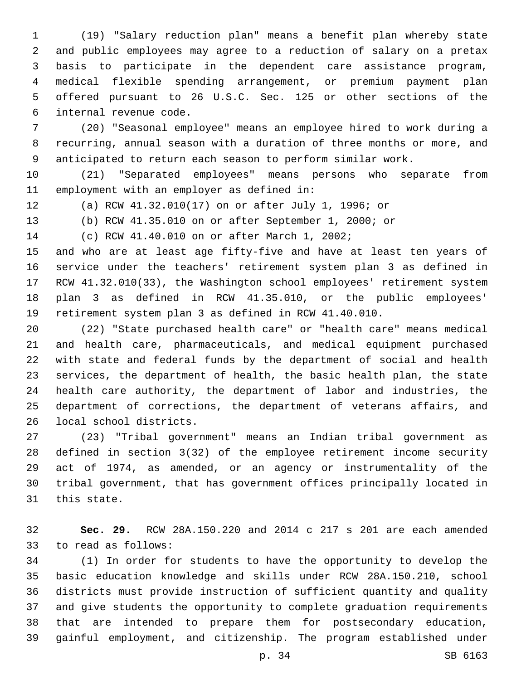(19) "Salary reduction plan" means a benefit plan whereby state and public employees may agree to a reduction of salary on a pretax basis to participate in the dependent care assistance program, medical flexible spending arrangement, or premium payment plan offered pursuant to 26 U.S.C. Sec. 125 or other sections of the 6 internal revenue code.

 (20) "Seasonal employee" means an employee hired to work during a recurring, annual season with a duration of three months or more, and anticipated to return each season to perform similar work.

 (21) "Separated employees" means persons who separate from 11 employment with an employer as defined in:

(a) RCW 41.32.010(17) on or after July 1, 1996; or

(b) RCW 41.35.010 on or after September 1, 2000; or

14 (c) RCW 41.40.010 on or after March 1, 2002;

 and who are at least age fifty-five and have at least ten years of service under the teachers' retirement system plan 3 as defined in RCW 41.32.010(33), the Washington school employees' retirement system plan 3 as defined in RCW 41.35.010, or the public employees' retirement system plan 3 as defined in RCW 41.40.010.

 (22) "State purchased health care" or "health care" means medical and health care, pharmaceuticals, and medical equipment purchased with state and federal funds by the department of social and health services, the department of health, the basic health plan, the state health care authority, the department of labor and industries, the department of corrections, the department of veterans affairs, and 26 local school districts.

 (23) "Tribal government" means an Indian tribal government as defined in section 3(32) of the employee retirement income security act of 1974, as amended, or an agency or instrumentality of the tribal government, that has government offices principally located in 31 this state.

 **Sec. 29.** RCW 28A.150.220 and 2014 c 217 s 201 are each amended 33 to read as follows:

 (1) In order for students to have the opportunity to develop the basic education knowledge and skills under RCW 28A.150.210, school districts must provide instruction of sufficient quantity and quality and give students the opportunity to complete graduation requirements that are intended to prepare them for postsecondary education, gainful employment, and citizenship. The program established under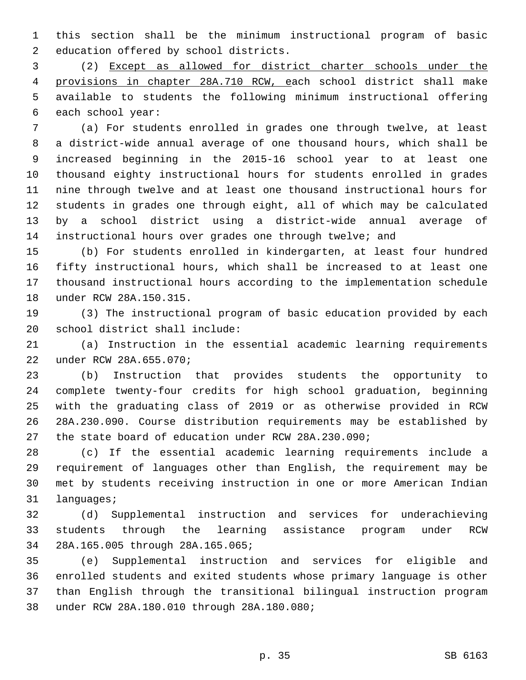this section shall be the minimum instructional program of basic 2 education offered by school districts.

 (2) Except as allowed for district charter schools under the provisions in chapter 28A.710 RCW, each school district shall make available to students the following minimum instructional offering 6 each school year:

 (a) For students enrolled in grades one through twelve, at least a district-wide annual average of one thousand hours, which shall be increased beginning in the 2015-16 school year to at least one thousand eighty instructional hours for students enrolled in grades nine through twelve and at least one thousand instructional hours for students in grades one through eight, all of which may be calculated by a school district using a district-wide annual average of instructional hours over grades one through twelve; and

 (b) For students enrolled in kindergarten, at least four hundred fifty instructional hours, which shall be increased to at least one thousand instructional hours according to the implementation schedule 18 under RCW 28A.150.315.

 (3) The instructional program of basic education provided by each 20 school district shall include:

 (a) Instruction in the essential academic learning requirements under RCW 28A.655.070;22

 (b) Instruction that provides students the opportunity to complete twenty-four credits for high school graduation, beginning with the graduating class of 2019 or as otherwise provided in RCW 28A.230.090. Course distribution requirements may be established by the state board of education under RCW 28A.230.090;

 (c) If the essential academic learning requirements include a requirement of languages other than English, the requirement may be met by students receiving instruction in one or more American Indian 31 languages;

 (d) Supplemental instruction and services for underachieving students through the learning assistance program under RCW 28A.165.005 through 28A.165.065;34

 (e) Supplemental instruction and services for eligible and enrolled students and exited students whose primary language is other than English through the transitional bilingual instruction program 38 under RCW 28A.180.010 through 28A.180.080;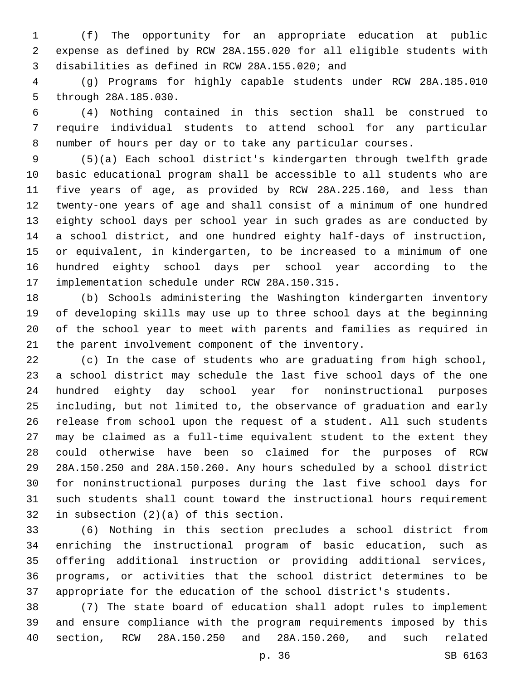(f) The opportunity for an appropriate education at public expense as defined by RCW 28A.155.020 for all eligible students with disabilities as defined in RCW 28A.155.020; and3

 (g) Programs for highly capable students under RCW 28A.185.010 5 through 28A.185.030.

 (4) Nothing contained in this section shall be construed to require individual students to attend school for any particular number of hours per day or to take any particular courses.

 (5)(a) Each school district's kindergarten through twelfth grade basic educational program shall be accessible to all students who are five years of age, as provided by RCW 28A.225.160, and less than twenty-one years of age and shall consist of a minimum of one hundred eighty school days per school year in such grades as are conducted by a school district, and one hundred eighty half-days of instruction, or equivalent, in kindergarten, to be increased to a minimum of one hundred eighty school days per school year according to the 17 implementation schedule under RCW 28A.150.315.

 (b) Schools administering the Washington kindergarten inventory of developing skills may use up to three school days at the beginning of the school year to meet with parents and families as required in the parent involvement component of the inventory.

 (c) In the case of students who are graduating from high school, a school district may schedule the last five school days of the one hundred eighty day school year for noninstructional purposes including, but not limited to, the observance of graduation and early release from school upon the request of a student. All such students may be claimed as a full-time equivalent student to the extent they could otherwise have been so claimed for the purposes of RCW 28A.150.250 and 28A.150.260. Any hours scheduled by a school district for noninstructional purposes during the last five school days for such students shall count toward the instructional hours requirement 32 in subsection  $(2)(a)$  of this section.

 (6) Nothing in this section precludes a school district from enriching the instructional program of basic education, such as offering additional instruction or providing additional services, programs, or activities that the school district determines to be appropriate for the education of the school district's students.

 (7) The state board of education shall adopt rules to implement and ensure compliance with the program requirements imposed by this section, RCW 28A.150.250 and 28A.150.260, and such related